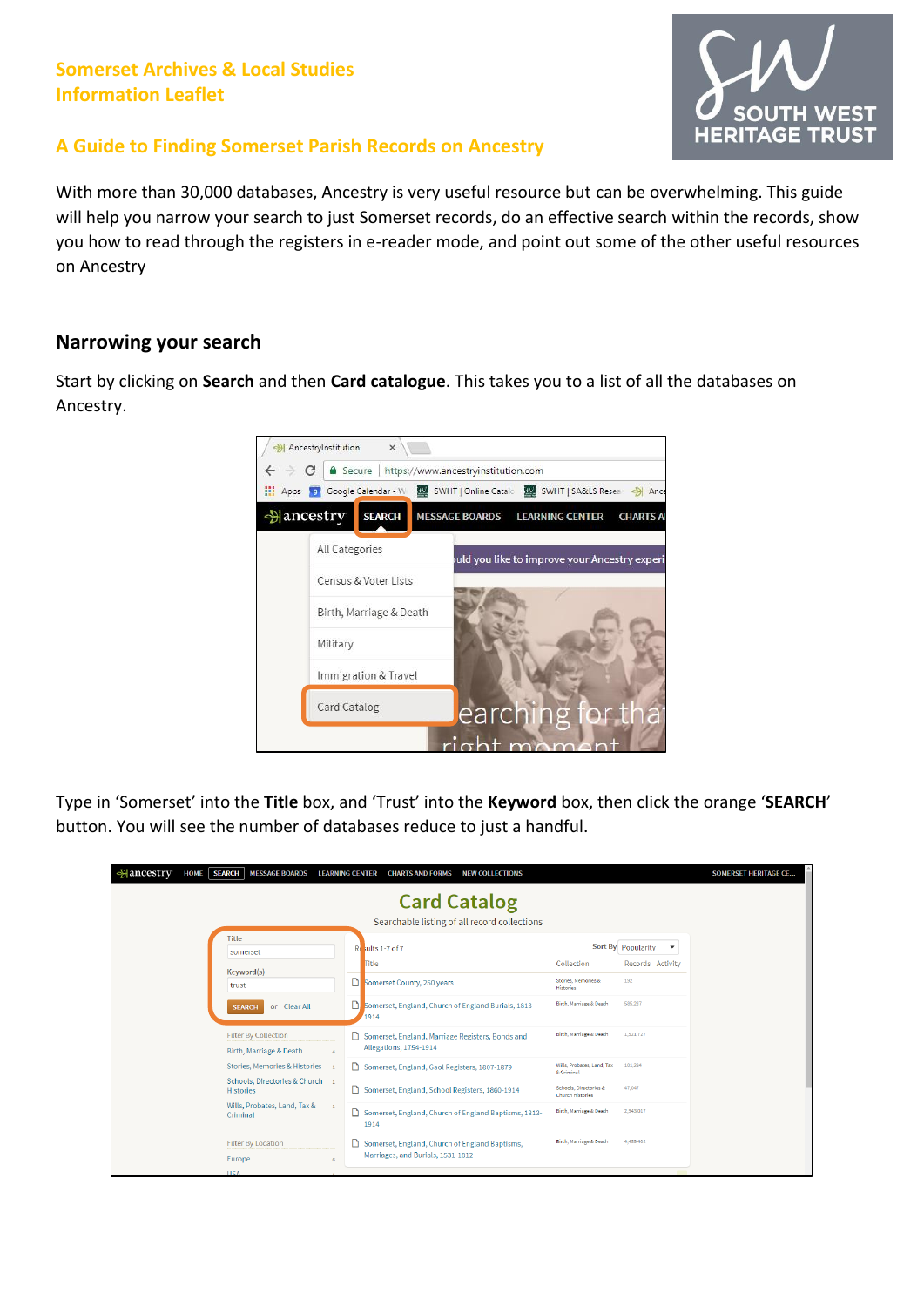## **Somerset Archives & Local Studies Information Leaflet**



### **A Guide to Finding Somerset Parish Records on Ancestry**

With more than 30,000 databases, Ancestry is very useful resource but can be overwhelming. This guide will help you narrow your search to just Somerset records, do an effective search within the records, show you how to read through the registers in e-reader mode, and point out some of the other useful resources on Ancestry

#### **Narrowing your search**

Start by clicking on **Search** and then **Card catalogue**. This takes you to a list of all the databases on Ancestry.



Type in 'Somerset' into the **Title** box, and 'Trust' into the **Keyword** box, then click the orange '**SEARCH**' button. You will see the number of databases reduce to just a handful.

| <b>Mancestry</b><br><b>SEARCH</b><br><b>HOME</b><br><b>MESSAGE BOARDS</b> | <b>CHARTS AND FORMS</b><br><b>NEW COLLECTIONS</b><br><b>LEARNING CENTER</b>         |                                                   |                                                                  | <b>SOMERSET HERITAGE CE</b> |
|---------------------------------------------------------------------------|-------------------------------------------------------------------------------------|---------------------------------------------------|------------------------------------------------------------------|-----------------------------|
|                                                                           | <b>Card Catalog</b><br>Searchable listing of all record collections                 |                                                   |                                                                  |                             |
| <b>Title</b><br>somerset                                                  | Results 1-7 of 7<br><b>Title</b>                                                    | Collection                                        | Sort By Popularity<br>$\overline{\mathbf v}$<br>Records Activity |                             |
| Keyword(s)<br>trust                                                       | Somerset County, 250 years                                                          | Stories, Memories &<br><b>Histories</b>           | 192                                                              |                             |
| or Clear All<br><b>SEARCH</b>                                             | ם<br>Somerset, England, Church of England Burials, 1813-<br>1914                    | Birth, Marriage & Death                           | 585,287                                                          |                             |
| <b>Filter By Collection</b><br>Birth, Marriage & Death                    | Somerset, England, Marriage Registers, Bonds and<br>Allegations, 1754-1914          | Birth, Marriage & Death                           | 1,521,727                                                        |                             |
| Stories, Memories & Histories 1                                           | Somerset, England, Gaol Registers, 1807-1879                                        | Wills, Probates, Land, Tax<br>& Criminal          | 101,284                                                          |                             |
| Schools, Directories & Church 1<br><b>Histories</b>                       | Somerset, England, School Registers, 1860-1914                                      | Schools, Directories &<br><b>Church Histories</b> | 47.047                                                           |                             |
| Wills, Probates, Land, Tax &<br>$\overline{1}$<br>Criminal                | Somerset, England, Church of England Baptisms, 1813-<br>1914                        | Birth, Marriage & Death                           | 2,943,017                                                        |                             |
| <b>Filter By Location</b><br>Europe<br>$\mathcal{L}$                      | Somerset, England, Church of England Baptisms,<br>Marriages, and Burials, 1531-1812 | Birth, Marriage & Death                           | 4,459,402                                                        |                             |
| <b>USA</b>                                                                |                                                                                     |                                                   |                                                                  |                             |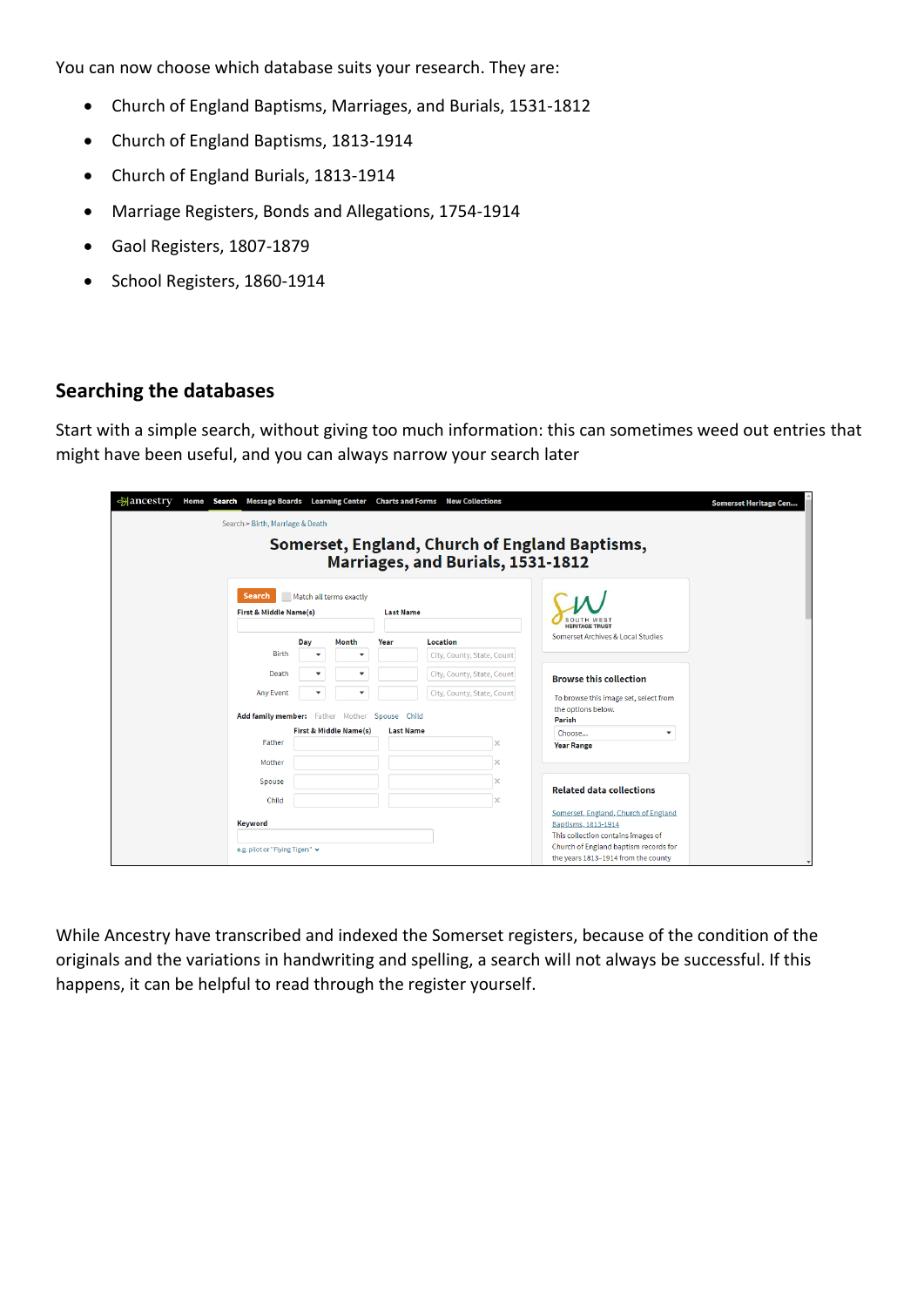You can now choose which database suits your research. They are:

- Church of England Baptisms, Marriages, and Burials, 1531-1812
- Church of England Baptisms, 1813-1914
- Church of England Burials, 1813-1914
- Marriage Registers, Bonds and Allegations, 1754-1914
- Gaol Registers, 1807-1879
- School Registers, 1860-1914

# **Searching the databases**

Start with a simple search, without giving too much information: this can sometimes weed out entries that might have been useful, and you can always narrow your search later

| ∻ancestry                        |                                                         |     |                                  |                  | Home Search Message Boards Learning Center Charts and Forms New Collections |  |                                                             | <b>Somerset Heritage Cen</b> |  |
|----------------------------------|---------------------------------------------------------|-----|----------------------------------|------------------|-----------------------------------------------------------------------------|--|-------------------------------------------------------------|------------------------------|--|
| Search > Birth, Marriage & Death |                                                         |     |                                  |                  |                                                                             |  |                                                             |                              |  |
|                                  |                                                         |     |                                  |                  |                                                                             |  | Somerset, England, Church of England Baptisms,              |                              |  |
|                                  |                                                         |     |                                  |                  | Marriages, and Burials, 1531-1812                                           |  |                                                             |                              |  |
|                                  |                                                         |     |                                  |                  |                                                                             |  |                                                             |                              |  |
|                                  | Search                                                  |     | Match all terms exactly          |                  |                                                                             |  |                                                             |                              |  |
|                                  | First & Middle Name(s)                                  |     |                                  | <b>Last Name</b> |                                                                             |  |                                                             |                              |  |
|                                  |                                                         |     |                                  |                  |                                                                             |  | <b>HERITAGE TRUST</b><br>Somerset Archives & Local Studies  |                              |  |
|                                  | Birth                                                   | Day | Month<br>$\overline{\mathbf{v}}$ | Year             | Location<br>City, County, State, Count                                      |  |                                                             |                              |  |
|                                  | Death                                                   |     | ۰                                |                  | City, County, State, Count                                                  |  |                                                             |                              |  |
|                                  | <b>Any Event</b>                                        |     | v                                |                  | City, County, State, Count                                                  |  | <b>Browse this collection</b>                               |                              |  |
|                                  |                                                         |     |                                  |                  |                                                                             |  | To browse this image set, select from<br>the options below. |                              |  |
|                                  | Add family member: Father Mother Spouse Child<br>Parish |     |                                  |                  |                                                                             |  |                                                             |                              |  |
|                                  | Father                                                  |     | First & Middle Name(s)           | <b>Last Name</b> |                                                                             |  | ۰<br>Choose<br><b>Year Range</b>                            |                              |  |
|                                  | Mother                                                  |     |                                  |                  |                                                                             |  |                                                             |                              |  |
|                                  | Spouse                                                  |     |                                  |                  |                                                                             |  |                                                             |                              |  |
|                                  | Child                                                   |     |                                  |                  |                                                                             |  | <b>Related data collections</b>                             |                              |  |
|                                  |                                                         |     |                                  |                  |                                                                             |  | Somerset, England, Church of England                        |                              |  |
|                                  | Keyword                                                 |     |                                  |                  |                                                                             |  | Baptisms, 1813-1914<br>This collection contains images of   |                              |  |
| e.g. pilot or "Flying Tigers" v  |                                                         |     |                                  |                  |                                                                             |  | Church of England baptism records for                       |                              |  |
|                                  |                                                         |     |                                  |                  |                                                                             |  | the years 1813-1914 from the county                         | $\overline{\phantom{a}}$     |  |

While Ancestry have transcribed and indexed the Somerset registers, because of the condition of the originals and the variations in handwriting and spelling, a search will not always be successful. If this happens, it can be helpful to read through the register yourself.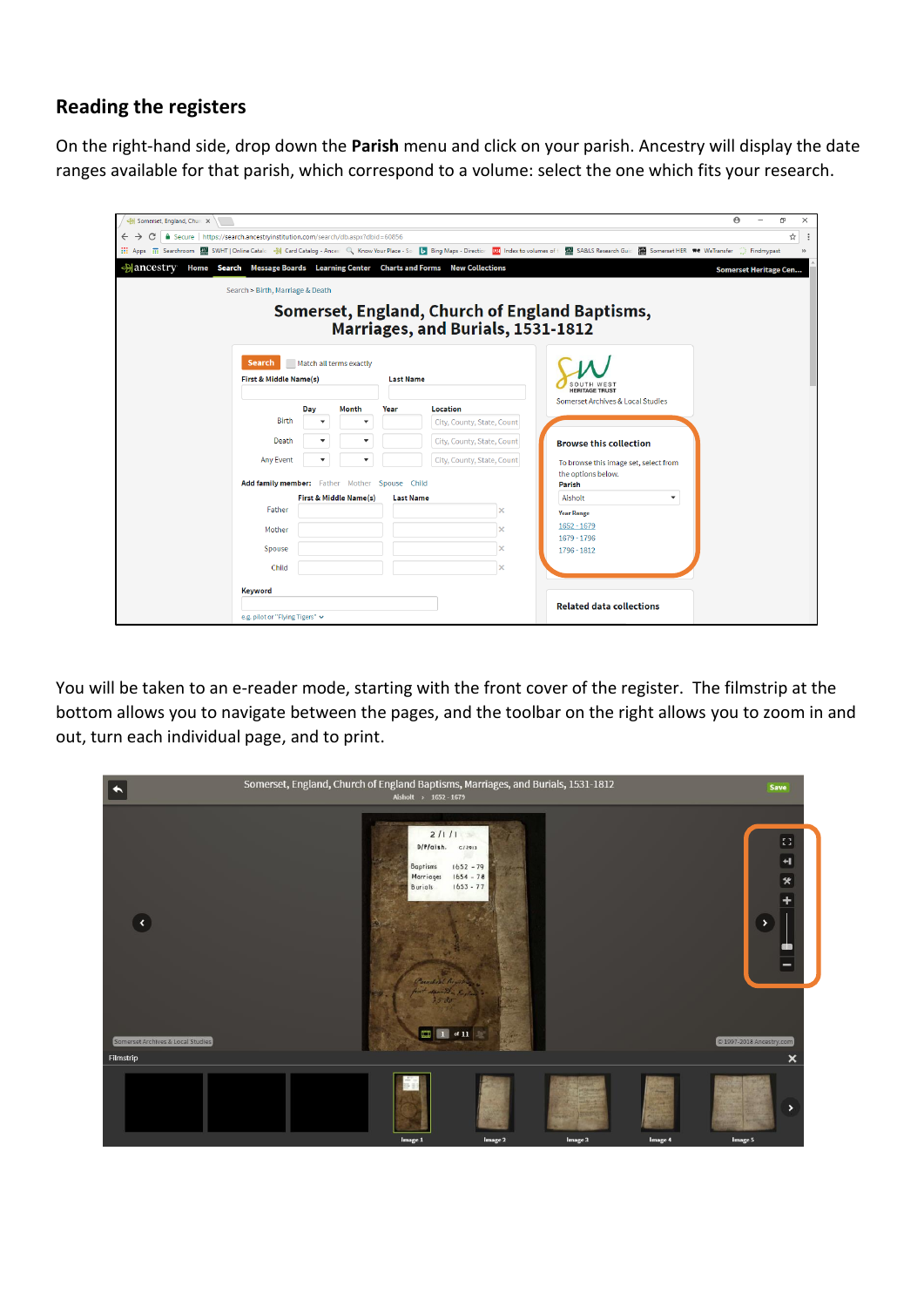### **Reading the registers**

On the right-hand side, drop down the **Parish** menu and click on your parish. Ancestry will display the date ranges available for that parish, which correspond to a volume: select the one which fits your research.

| Somerset, England, Churc X                                                                          |     |                                   |                  |                                                |                                                                                                                                                                                                                                   | $\Theta$ | 门                            | $\times$ |
|-----------------------------------------------------------------------------------------------------|-----|-----------------------------------|------------------|------------------------------------------------|-----------------------------------------------------------------------------------------------------------------------------------------------------------------------------------------------------------------------------------|----------|------------------------------|----------|
| △ Secure   https://search.ancestryinstitution.com/search/db.aspx?dbid=60856<br>$\leftarrow$         |     |                                   |                  |                                                |                                                                                                                                                                                                                                   |          | ☆                            |          |
| $\frac{111}{111}$ Apps                                                                              |     |                                   |                  |                                                | <u> : The Searchroom</u>   <b>Manufact Stalc</b> < Heard Catalog - Ances! Q Know Your Place - So   D Bing Maps - Direction   KRI Index to volumes of t   MRI SA&LS Research Guild   MRI Somerset HER   We Transfer ( ) Findmypast |          |                              |          |
| $\triangle$ ancestry<br>Home Search Message Boards Learning Center Charts and Forms New Collections |     |                                   |                  |                                                |                                                                                                                                                                                                                                   |          | <b>Somerset Heritage Cen</b> |          |
| Search > Birth, Marriage & Death                                                                    |     |                                   |                  |                                                |                                                                                                                                                                                                                                   |          |                              |          |
|                                                                                                     |     |                                   |                  |                                                |                                                                                                                                                                                                                                   |          |                              |          |
|                                                                                                     |     |                                   |                  | Somerset, England, Church of England Baptisms, |                                                                                                                                                                                                                                   |          |                              |          |
|                                                                                                     |     |                                   |                  | Marriages, and Burials, 1531-1812              |                                                                                                                                                                                                                                   |          |                              |          |
|                                                                                                     |     |                                   |                  |                                                |                                                                                                                                                                                                                                   |          |                              |          |
| <b>Search</b>                                                                                       |     | Match all terms exactly           |                  |                                                |                                                                                                                                                                                                                                   |          |                              |          |
| First & Middle Name(s)                                                                              |     |                                   | <b>Last Name</b> |                                                |                                                                                                                                                                                                                                   |          |                              |          |
|                                                                                                     |     |                                   |                  |                                                | <b>HERITAGE TRUST</b><br>Somerset Archives & Local Studies                                                                                                                                                                        |          |                              |          |
|                                                                                                     | Day | Month                             | Year             | Location                                       |                                                                                                                                                                                                                                   |          |                              |          |
| <b>Birth</b>                                                                                        |     | ▼                                 |                  | City, County, State, Count                     |                                                                                                                                                                                                                                   |          |                              |          |
| Death                                                                                               |     |                                   |                  | City, County, State, Count                     | <b>Browse this collection</b>                                                                                                                                                                                                     |          |                              |          |
| <b>Any Event</b>                                                                                    |     |                                   |                  | City, County, State, Count                     | To browse this image set, select from                                                                                                                                                                                             |          |                              |          |
|                                                                                                     |     |                                   |                  |                                                | the options below.                                                                                                                                                                                                                |          |                              |          |
| Add family member: Father Mother Spouse Child                                                       |     |                                   |                  |                                                | Parish                                                                                                                                                                                                                            |          |                              |          |
| Father                                                                                              |     | <b>First &amp; Middle Name(s)</b> | <b>Last Name</b> |                                                | Aisholt<br>▼                                                                                                                                                                                                                      |          |                              |          |
|                                                                                                     |     |                                   |                  |                                                | <b>Year Range</b><br>$1652 - 1679$                                                                                                                                                                                                |          |                              |          |
| Mother                                                                                              |     |                                   |                  |                                                | 1679 - 1796                                                                                                                                                                                                                       |          |                              |          |
| Spouse                                                                                              |     |                                   |                  | ×                                              | 1796 - 1812                                                                                                                                                                                                                       |          |                              |          |
| Child                                                                                               |     |                                   |                  | $\times$                                       |                                                                                                                                                                                                                                   |          |                              |          |
|                                                                                                     |     |                                   |                  |                                                |                                                                                                                                                                                                                                   |          |                              |          |
| Keyword                                                                                             |     |                                   |                  |                                                | <b>Related data collections</b>                                                                                                                                                                                                   |          |                              |          |
| e.g. pilot or "Flying Tigers" v                                                                     |     |                                   |                  |                                                |                                                                                                                                                                                                                                   |          |                              |          |

You will be taken to an e-reader mode, starting with the front cover of the register. The filmstrip at the bottom allows you to navigate between the pages, and the toolbar on the right allows you to zoom in and out, turn each individual page, and to print.